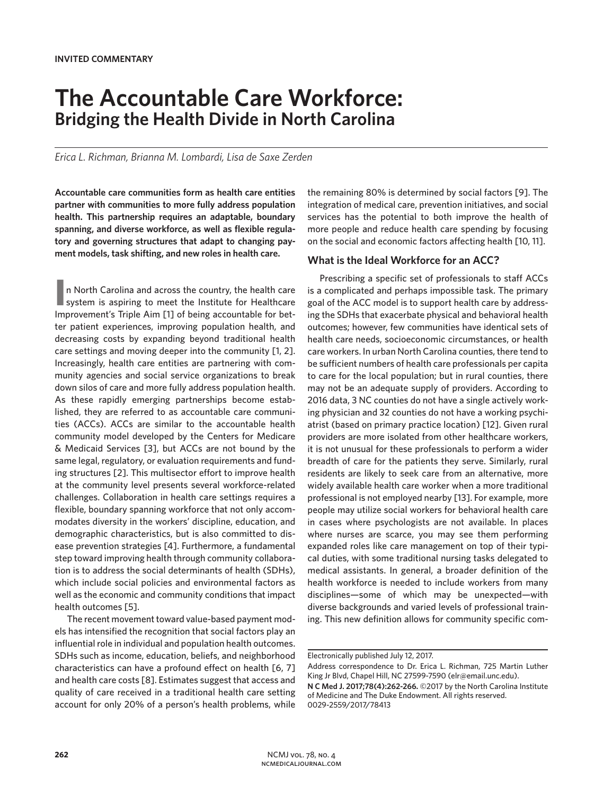# **The Accountable Care Workforce: Bridging the Health Divide in North Carolina**

*Erica L. Richman, Brianna M. Lombardi, Lisa de Saxe Zerden*

**Accountable care communities form as health care entities partner with communities to more fully address population health. This partnership requires an adaptable, boundary spanning, and diverse workforce, as well as flexible regulatory and governing structures that adapt to changing payment models, task shifting, and new roles in health care.** 

**I** in North Carolina and across the country, the health care system is aspiring to meet the Institute for Healthcare n North Carolina and across the country, the health care Improvement's Triple Aim [1] of being accountable for better patient experiences, improving population health, and decreasing costs by expanding beyond traditional health care settings and moving deeper into the community [1, 2]. Increasingly, health care entities are partnering with community agencies and social service organizations to break down silos of care and more fully address population health. As these rapidly emerging partnerships become established, they are referred to as accountable care communities (ACCs). ACCs are similar to the accountable health community model developed by the Centers for Medicare & Medicaid Services [3], but ACCs are not bound by the same legal, regulatory, or evaluation requirements and funding structures [2]. This multisector effort to improve health at the community level presents several workforce-related challenges. Collaboration in health care settings requires a flexible, boundary spanning workforce that not only accommodates diversity in the workers' discipline, education, and demographic characteristics, but is also committed to disease prevention strategies [4]. Furthermore, a fundamental step toward improving health through community collaboration is to address the social determinants of health (SDHs), which include social policies and environmental factors as well as the economic and community conditions that impact health outcomes [5].

The recent movement toward value-based payment models has intensified the recognition that social factors play an influential role in individual and population health outcomes. SDHs such as income, education, beliefs, and neighborhood characteristics can have a profound effect on health [6, 7] and health care costs [8]. Estimates suggest that access and quality of care received in a traditional health care setting account for only 20% of a person's health problems, while the remaining 80% is determined by social factors [9]. The integration of medical care, prevention initiatives, and social services has the potential to both improve the health of more people and reduce health care spending by focusing on the social and economic factors affecting health [10, 11].

#### **What is the Ideal Workforce for an ACC?**

Prescribing a specific set of professionals to staff ACCs is a complicated and perhaps impossible task. The primary goal of the ACC model is to support health care by addressing the SDHs that exacerbate physical and behavioral health outcomes; however, few communities have identical sets of health care needs, socioeconomic circumstances, or health care workers. In urban North Carolina counties, there tend to be sufficient numbers of health care professionals per capita to care for the local population; but in rural counties, there may not be an adequate supply of providers. According to 2016 data, 3 NC counties do not have a single actively working physician and 32 counties do not have a working psychiatrist (based on primary practice location) [12]. Given rural providers are more isolated from other healthcare workers, it is not unusual for these professionals to perform a wider breadth of care for the patients they serve. Similarly, rural residents are likely to seek care from an alternative, more widely available health care worker when a more traditional professional is not employed nearby [13]. For example, more people may utilize social workers for behavioral health care in cases where psychologists are not available. In places where nurses are scarce, you may see them performing expanded roles like care management on top of their typical duties, with some traditional nursing tasks delegated to medical assistants. In general, a broader definition of the health workforce is needed to include workers from many disciplines—some of which may be unexpected—with diverse backgrounds and varied levels of professional training. This new definition allows for community specific com-

Electronically published July 12, 2017.

Address correspondence to Dr. Erica L. Richman, 725 Martin Luther King Jr Blvd, Chapel Hill, NC 27599-7590 (elr@email.unc.edu). **N C Med J. 2017;78(4):262-266.** ©2017 by the North Carolina Institute of Medicine and The Duke Endowment. All rights reserved. 0029-2559/2017/78413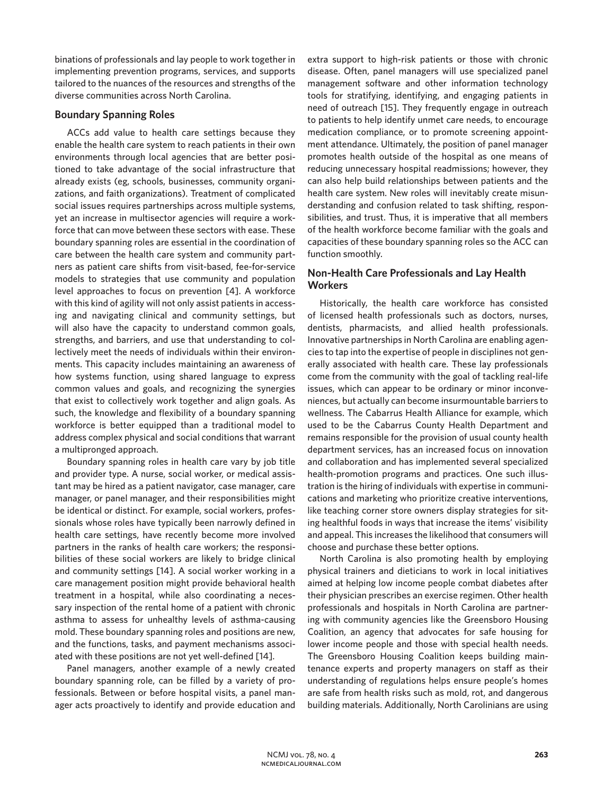binations of professionals and lay people to work together in implementing prevention programs, services, and supports tailored to the nuances of the resources and strengths of the diverse communities across North Carolina.

#### **Boundary Spanning Roles**

ACCs add value to health care settings because they enable the health care system to reach patients in their own environments through local agencies that are better positioned to take advantage of the social infrastructure that already exists (eg, schools, businesses, community organizations, and faith organizations). Treatment of complicated social issues requires partnerships across multiple systems, yet an increase in multisector agencies will require a workforce that can move between these sectors with ease. These boundary spanning roles are essential in the coordination of care between the health care system and community partners as patient care shifts from visit-based, fee-for-service models to strategies that use community and population level approaches to focus on prevention [4]. A workforce with this kind of agility will not only assist patients in accessing and navigating clinical and community settings, but will also have the capacity to understand common goals, strengths, and barriers, and use that understanding to collectively meet the needs of individuals within their environments. This capacity includes maintaining an awareness of how systems function, using shared language to express common values and goals, and recognizing the synergies that exist to collectively work together and align goals. As such, the knowledge and flexibility of a boundary spanning workforce is better equipped than a traditional model to address complex physical and social conditions that warrant a multipronged approach.

Boundary spanning roles in health care vary by job title and provider type. A nurse, social worker, or medical assistant may be hired as a patient navigator, case manager, care manager, or panel manager, and their responsibilities might be identical or distinct. For example, social workers, professionals whose roles have typically been narrowly defined in health care settings, have recently become more involved partners in the ranks of health care workers; the responsibilities of these social workers are likely to bridge clinical and community settings [14]. A social worker working in a care management position might provide behavioral health treatment in a hospital, while also coordinating a necessary inspection of the rental home of a patient with chronic asthma to assess for unhealthy levels of asthma-causing mold. These boundary spanning roles and positions are new, and the functions, tasks, and payment mechanisms associated with these positions are not yet well-defined [14].

Panel managers, another example of a newly created boundary spanning role, can be filled by a variety of professionals. Between or before hospital visits, a panel manager acts proactively to identify and provide education and extra support to high-risk patients or those with chronic disease. Often, panel managers will use specialized panel management software and other information technology tools for stratifying, identifying, and engaging patients in need of outreach [15]. They frequently engage in outreach to patients to help identify unmet care needs, to encourage medication compliance, or to promote screening appointment attendance. Ultimately, the position of panel manager promotes health outside of the hospital as one means of reducing unnecessary hospital readmissions; however, they can also help build relationships between patients and the health care system. New roles will inevitably create misunderstanding and confusion related to task shifting, responsibilities, and trust. Thus, it is imperative that all members of the health workforce become familiar with the goals and capacities of these boundary spanning roles so the ACC can function smoothly.

# **Non-Health Care Professionals and Lay Health Workers**

Historically, the health care workforce has consisted of licensed health professionals such as doctors, nurses, dentists, pharmacists, and allied health professionals. Innovative partnerships in North Carolina are enabling agencies to tap into the expertise of people in disciplines not generally associated with health care. These lay professionals come from the community with the goal of tackling real-life issues, which can appear to be ordinary or minor inconveniences, but actually can become insurmountable barriers to wellness. The Cabarrus Health Alliance for example, which used to be the Cabarrus County Health Department and remains responsible for the provision of usual county health department services, has an increased focus on innovation and collaboration and has implemented several specialized health-promotion programs and practices. One such illustration is the hiring of individuals with expertise in communications and marketing who prioritize creative interventions, like teaching corner store owners display strategies for siting healthful foods in ways that increase the items' visibility and appeal. This increases the likelihood that consumers will choose and purchase these better options.

North Carolina is also promoting health by employing physical trainers and dieticians to work in local initiatives aimed at helping low income people combat diabetes after their physician prescribes an exercise regimen. Other health professionals and hospitals in North Carolina are partnering with community agencies like the Greensboro Housing Coalition, an agency that advocates for safe housing for lower income people and those with special health needs. The Greensboro Housing Coalition keeps building maintenance experts and property managers on staff as their understanding of regulations helps ensure people's homes are safe from health risks such as mold, rot, and dangerous building materials. Additionally, North Carolinians are using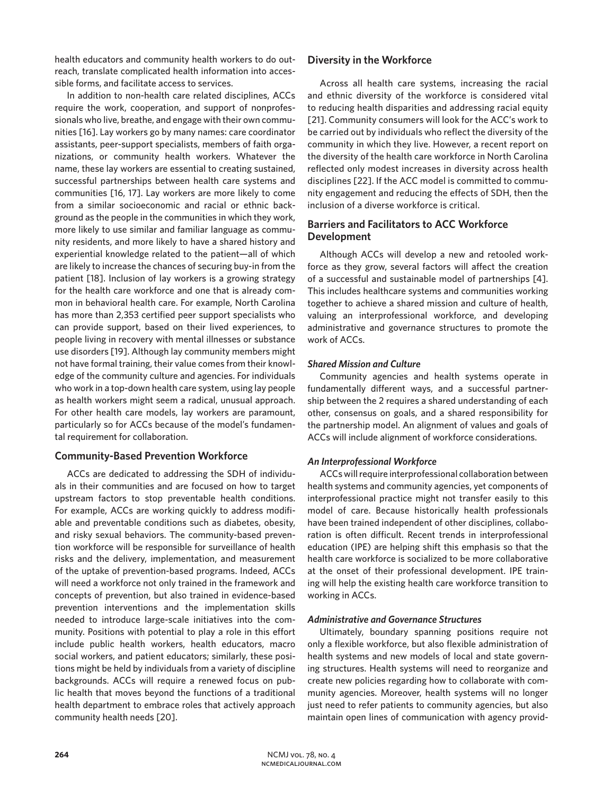health educators and community health workers to do outreach, translate complicated health information into accessible forms, and facilitate access to services.

In addition to non-health care related disciplines, ACCs require the work, cooperation, and support of nonprofessionals who live, breathe, and engage with their own communities [16]. Lay workers go by many names: care coordinator assistants, peer-support specialists, members of faith organizations, or community health workers. Whatever the name, these lay workers are essential to creating sustained, successful partnerships between health care systems and communities [16, 17]. Lay workers are more likely to come from a similar socioeconomic and racial or ethnic background as the people in the communities in which they work, more likely to use similar and familiar language as community residents, and more likely to have a shared history and experiential knowledge related to the patient—all of which are likely to increase the chances of securing buy-in from the patient [18]. Inclusion of lay workers is a growing strategy for the health care workforce and one that is already common in behavioral health care. For example, North Carolina has more than 2,353 certified peer support specialists who can provide support, based on their lived experiences, to people living in recovery with mental illnesses or substance use disorders [19]. Although lay community members might not have formal training, their value comes from their knowledge of the community culture and agencies. For individuals who work in a top-down health care system, using lay people as health workers might seem a radical, unusual approach. For other health care models, lay workers are paramount, particularly so for ACCs because of the model's fundamental requirement for collaboration.

# **Community-Based Prevention Workforce**

ACCs are dedicated to addressing the SDH of individuals in their communities and are focused on how to target upstream factors to stop preventable health conditions. For example, ACCs are working quickly to address modifiable and preventable conditions such as diabetes, obesity, and risky sexual behaviors. The community-based prevention workforce will be responsible for surveillance of health risks and the delivery, implementation, and measurement of the uptake of prevention-based programs. Indeed, ACCs will need a workforce not only trained in the framework and concepts of prevention, but also trained in evidence-based prevention interventions and the implementation skills needed to introduce large-scale initiatives into the community. Positions with potential to play a role in this effort include public health workers, health educators, macro social workers, and patient educators; similarly, these positions might be held by individuals from a variety of discipline backgrounds. ACCs will require a renewed focus on public health that moves beyond the functions of a traditional health department to embrace roles that actively approach community health needs [20].

# **Diversity in the Workforce**

Across all health care systems, increasing the racial and ethnic diversity of the workforce is considered vital to reducing health disparities and addressing racial equity [21]. Community consumers will look for the ACC's work to be carried out by individuals who reflect the diversity of the community in which they live. However, a recent report on the diversity of the health care workforce in North Carolina reflected only modest increases in diversity across health disciplines [22]. If the ACC model is committed to community engagement and reducing the effects of SDH, then the inclusion of a diverse workforce is critical.

# **Barriers and Facilitators to ACC Workforce Development**

Although ACCs will develop a new and retooled workforce as they grow, several factors will affect the creation of a successful and sustainable model of partnerships [4]. This includes healthcare systems and communities working together to achieve a shared mission and culture of health, valuing an interprofessional workforce, and developing administrative and governance structures to promote the work of ACCs.

# *Shared Mission and Culture*

Community agencies and health systems operate in fundamentally different ways, and a successful partnership between the 2 requires a shared understanding of each other, consensus on goals, and a shared responsibility for the partnership model. An alignment of values and goals of ACCs will include alignment of workforce considerations.

# *An Interprofessional Workforce*

ACCs will require interprofessional collaboration between health systems and community agencies, yet components of interprofessional practice might not transfer easily to this model of care. Because historically health professionals have been trained independent of other disciplines, collaboration is often difficult. Recent trends in interprofessional education (IPE) are helping shift this emphasis so that the health care workforce is socialized to be more collaborative at the onset of their professional development. IPE training will help the existing health care workforce transition to working in ACCs.

#### *Administrative and Governance Structures*

Ultimately, boundary spanning positions require not only a flexible workforce, but also flexible administration of health systems and new models of local and state governing structures. Health systems will need to reorganize and create new policies regarding how to collaborate with community agencies. Moreover, health systems will no longer just need to refer patients to community agencies, but also maintain open lines of communication with agency provid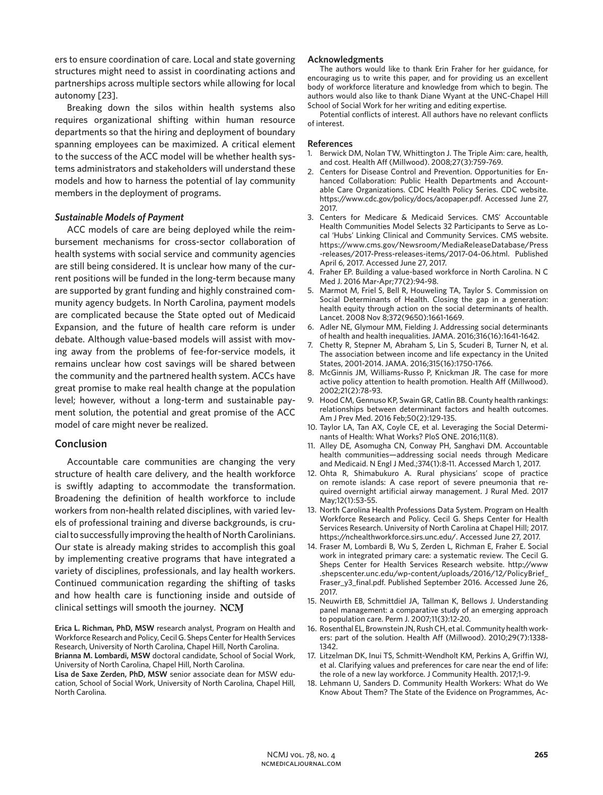ers to ensure coordination of care. Local and state governing structures might need to assist in coordinating actions and partnerships across multiple sectors while allowing for local autonomy [23].

Breaking down the silos within health systems also requires organizational shifting within human resource departments so that the hiring and deployment of boundary spanning employees can be maximized. A critical element to the success of the ACC model will be whether health systems administrators and stakeholders will understand these models and how to harness the potential of lay community members in the deployment of programs.

#### *Sustainable Models of Payment*

ACC models of care are being deployed while the reimbursement mechanisms for cross-sector collaboration of health systems with social service and community agencies are still being considered. It is unclear how many of the current positions will be funded in the long-term because many are supported by grant funding and highly constrained community agency budgets. In North Carolina, payment models are complicated because the State opted out of Medicaid Expansion, and the future of health care reform is under debate. Although value-based models will assist with moving away from the problems of fee-for-service models, it remains unclear how cost savings will be shared between the community and the partnered health system. ACCs have great promise to make real health change at the population level; however, without a long-term and sustainable payment solution, the potential and great promise of the ACC model of care might never be realized.

#### **Conclusion**

Accountable care communities are changing the very structure of health care delivery, and the health workforce is swiftly adapting to accommodate the transformation. Broadening the definition of health workforce to include workers from non-health related disciplines, with varied levels of professional training and diverse backgrounds, is crucial to successfully improving the health of North Carolinians. Our state is already making strides to accomplish this goal by implementing creative programs that have integrated a variety of disciplines, professionals, and lay health workers. Continued communication regarding the shifting of tasks and how health care is functioning inside and outside of clinical settings will smooth the journey. NCM

**Erica L. Richman, PhD, MSW** research analyst, Program on Health and Workforce Research and Policy, Cecil G. Sheps Center for Health Services Research, University of North Carolina, Chapel Hill, North Carolina. **Brianna M. Lombardi, MSW** doctoral candidate, School of Social Work,

University of North Carolina, Chapel Hill, North Carolina.

**Lisa de Saxe Zerden, PhD, MSW** senior associate dean for MSW education, School of Social Work, University of North Carolina, Chapel Hill, North Carolina.

#### **Acknowledgments**

The authors would like to thank Erin Fraher for her guidance, for encouraging us to write this paper, and for providing us an excellent body of workforce literature and knowledge from which to begin. The authors would also like to thank Diane Wyant at the UNC-Chapel Hill School of Social Work for her writing and editing expertise.

Potential conflicts of interest. All authors have no relevant conflicts of interest.

#### **References**

- Berwick DM, Nolan TW, Whittington J. The Triple Aim: care, health, and cost. Health Aff (Millwood). 2008;27(3):759-769.
- 2. Centers for Disease Control and Prevention. Opportunities for Enhanced Collaboration: Public Health Departments and Accountable Care Organizations. CDC Health Policy Series. CDC website. https://www.cdc.gov/policy/docs/acopaper.pdf. Accessed June 27, 2017.
- 3. Centers for Medicare & Medicaid Services. CMS' Accountable Health Communities Model Selects 32 Participants to Serve as Local 'Hubs' Linking Clinical and Community Services. CMS website. https://www.cms.gov/Newsroom/MediaReleaseDatabase/Press -releases/2017-Press-releases-items/2017-04-06.html. Published April 6, 2017. Accessed June 27, 2017.
- 4. Fraher EP. Building a value-based workforce in North Carolina. N C Med J. 2016 Mar-Apr;77(2):94-98.
- 5. Marmot M, Friel S, Bell R, Houweling TA, Taylor S. Commission on Social Determinants of Health. Closing the gap in a generation: health equity through action on the social determinants of health. Lancet. 2008 Nov 8;372(9650):1661-1669.
- 6. Adler NE, Glymour MM, Fielding J. Addressing social determinants of health and health inequalities. JAMA. 2016;316(16):1641-1642.
- 7. Chetty R, Stepner M, Abraham S, Lin S, Scuderi B, Turner N, et al. The association between income and life expectancy in the United States, 2001-2014. JAMA. 2016;315(16):1750-1766.
- 8. McGinnis JM, Williams-Russo P, Knickman JR. The case for more active policy attention to health promotion. Health Aff (Millwood). 2002;21(2):78-93.
- 9. Hood CM, Gennuso KP, Swain GR, Catlin BB. County health rankings: relationships between determinant factors and health outcomes. Am J Prev Med. 2016 Feb;50(2):129-135.
- 10. Taylor LA, Tan AX, Coyle CE, et al. Leveraging the Social Determinants of Health: What Works? PloS ONE. 2016;11(8).
- 11. Alley DE, Asomugha CN, Conway PH, Sanghavi DM. Accountable health communities—addressing social needs through Medicare and Medicaid. N Engl J Med.;374(1):8-11. Accessed March 1, 2017.
- 12. Ohta R, Shimabukuro A. Rural physicians' scope of practice on remote islands: A case report of severe pneumonia that required overnight artificial airway management. J Rural Med. 2017 May;12(1):53-55.
- 13. North Carolina Health Professions Data System. Program on Health Workforce Research and Policy. Cecil G. Sheps Center for Health Services Research. University of North Carolina at Chapel Hill; 2017. https://nchealthworkforce.sirs.unc.edu/. Accessed June 27, 2017.
- 14. Fraser M, Lombardi B, Wu S, Zerden L, Richman E, Fraher E. Social work in integrated primary care: a systematic review. The Cecil G. Sheps Center for Health Services Research website. http://www .shepscenter.unc.edu/wp-content/uploads/2016/12/PolicyBrief\_ Fraser\_y3\_final.pdf. Published September 2016. Accessed June 26, 2017.
- 15. Neuwirth EB, Schmittdiel JA, Tallman K, Bellows J. Understanding panel management: a comparative study of an emerging approach to population care. Perm J. 2007;11(3):12-20.
- 16. Rosenthal EL, Brownstein JN, Rush CH, et al. Community health workers: part of the solution. Health Aff (Millwood). 2010;29(7):1338- 1342.
- 17. Litzelman DK, Inui TS, Schmitt-Wendholt KM, Perkins A, Griffin WJ, et al. Clarifying values and preferences for care near the end of life: the role of a new lay workforce. J Community Health. 2017;1-9.
- 18. Lehmann U, Sanders D. Community Health Workers: What do We Know About Them? The State of the Evidence on Programmes, Ac-